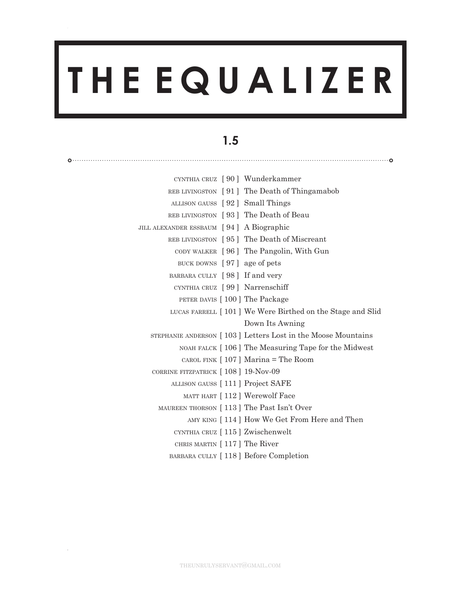# **T H E E Q U A L I Z E R**

# **1.5**

|                                          | CYNTHIA CRUZ [90] Wunderkammer                               |
|------------------------------------------|--------------------------------------------------------------|
|                                          | REB LIVINGSTON [91] The Death of Thingamabob                 |
| ALLISON GAUSS [92] Small Things          |                                                              |
|                                          | REB LIVINGSTON [93] The Death of Beau                        |
| JILL ALEXANDER ESSBAUM [94] A Biographic |                                                              |
|                                          | REB LIVINGSTON [95] The Death of Miscreant                   |
|                                          | CODY WALKER [96] The Pangolin, With Gun                      |
| BUCK DOWNS [97] age of pets              |                                                              |
| BARBARA CULLY [98] If and very           |                                                              |
| CYNTHIA CRUZ [99] Narrenschiff           |                                                              |
|                                          | PETER DAVIS [ 100 ] The Package                              |
|                                          | LUCAS FARRELL [101] We Were Birthed on the Stage and Slid    |
|                                          | Down Its Awning                                              |
|                                          | STEPHANIE ANDERSON [103] Letters Lost in the Moose Mountains |
|                                          | NOAH FALCK [106] The Measuring Tape for the Midwest          |
|                                          | CAROL FINK $[107]$ Marina = The Room                         |
| CORRINE FITZPATRICK [108] 19-Nov-09      |                                                              |
| ALLISON GAUSS [111] Project SAFE         |                                                              |
|                                          | MATT HART [112] Werewolf Face                                |
|                                          | MAUREEN THORSON [113] The Past Isn't Over                    |
|                                          | AMY KING [114] How We Get From Here and Then                 |
| CYNTHIA CRUZ [115] Zwischenwelt          |                                                              |
| CHRIS MARTIN [117] The River             |                                                              |
|                                          | BARBARA CULLY [118] Before Completion                        |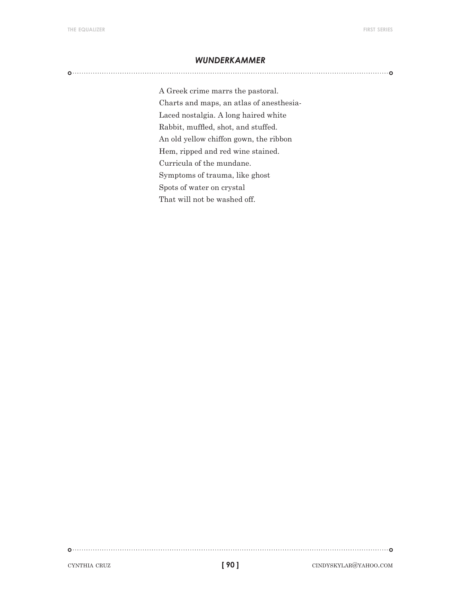#### *wunderkammer*

A Greek crime marrs the pastoral. Charts and maps, an atlas of anesthesia-Laced nostalgia. A long haired white Rabbit, muffled, shot, and stuffed. An old yellow chiffon gown, the ribbon Hem, ripped and red wine stained. Curricula of the mundane. Symptoms of trauma, like ghost Spots of water on crystal That will not be washed off.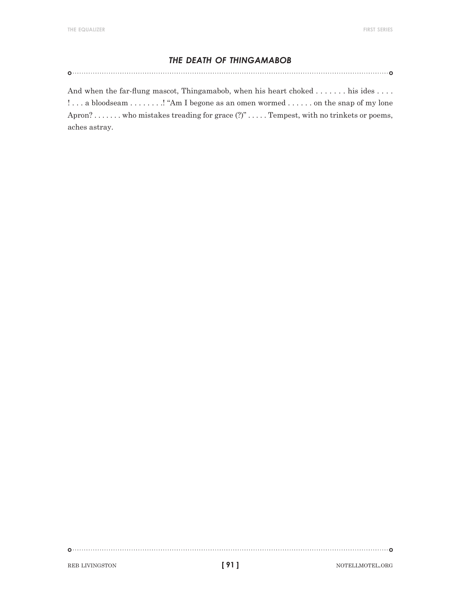## *the death of thingamabob*

And when the far-flung mascot, Thingamabob, when his heart choked . . . . . . . his ides . . . . !... a bloodseam . . . . . . . . ! "Am I begone as an omen wormed . . . . . . on the snap of my lone Apron? . . . . . . . who mistakes treading for grace  $(?)^n$  . . . . . Tempest, with no trinkets or poems, aches astray.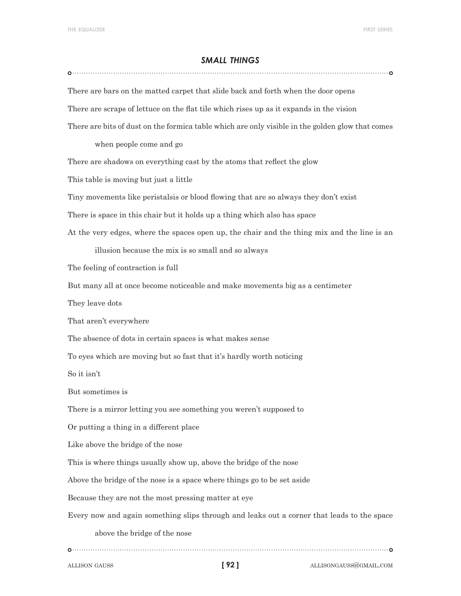#### *small things*

There are bars on the matted carpet that slide back and forth when the door opens There are scraps of lettuce on the flat tile which rises up as it expands in the vision There are bits of dust on the formica table which are only visible in the golden glow that comes when people come and go There are shadows on everything cast by the atoms that reflect the glow This table is moving but just a little Tiny movements like peristalsis or blood flowing that are so always they don't exist There is space in this chair but it holds up a thing which also has space At the very edges, where the spaces open up, the chair and the thing mix and the line is an illusion because the mix is so small and so always The feeling of contraction is full But many all at once become noticeable and make movements big as a centimeter They leave dots That aren't everywhere The absence of dots in certain spaces is what makes sense To eyes which are moving but so fast that it's hardly worth noticing So it isn't But sometimes is There is a mirror letting you see something you weren't supposed to Or putting a thing in a different place Like above the bridge of the nose This is where things usually show up, above the bridge of the nose Above the bridge of the nose is a space where things go to be set aside Because they are not the most pressing matter at eye Every now and again something slips through and leaks out a corner that leads to the space above the bridge of the nose 

**[ 92 ]**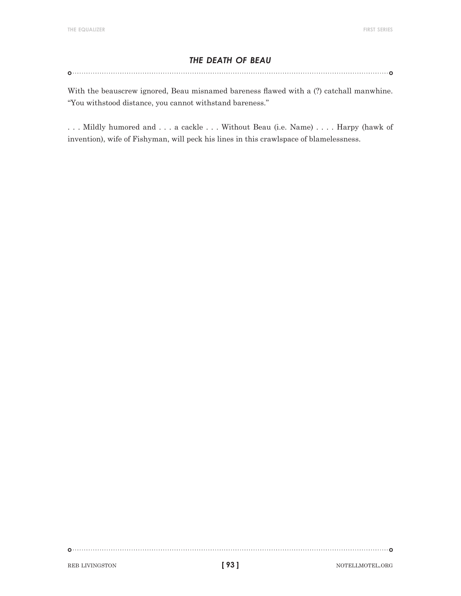# *the death of beau*

With the beauscrew ignored, Beau misnamed bareness flawed with a (?) catchall manwhine. "You withstood distance, you cannot withstand bareness."

. . . Mildly humored and . . . a cackle . . . Without Beau (i.e. Name) . . . . Harpy (hawk of invention), wife of Fishyman, will peck his lines in this crawlspace of blamelessness.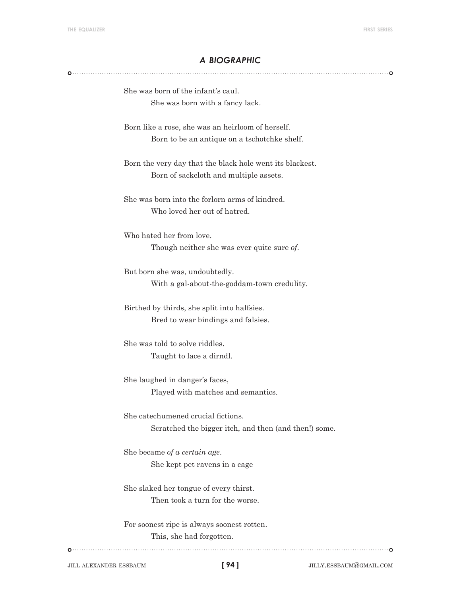#### *a biographic*

She was born of the infant's caul. She was born with a fancy lack.

Born like a rose, she was an heirloom of herself. Born to be an antique on a tschotchke shelf.

Born the very day that the black hole went its blackest. Born of sackcloth and multiple assets.

She was born into the forlorn arms of kindred. Who loved her out of hatred.

Who hated her from love. Though neither she was ever quite sure *of*.

But born she was, undoubtedly. With a gal-about-the-goddam-town credulity.

Birthed by thirds, she split into halfsies. Bred to wear bindings and falsies.

She was told to solve riddles. Taught to lace a dirndl.

She laughed in danger's faces, Played with matches and semantics.

She catechumened crucial fictions. Scratched the bigger itch, and then (and then!) some.

She became *of a certain age*. She kept pet ravens in a cage

She slaked her tongue of every thirst. Then took a turn for the worse.

For soonest ripe is always soonest rotten. This, she had forgotten.

jill alexander essbaum jilly.essbaum@gmail.com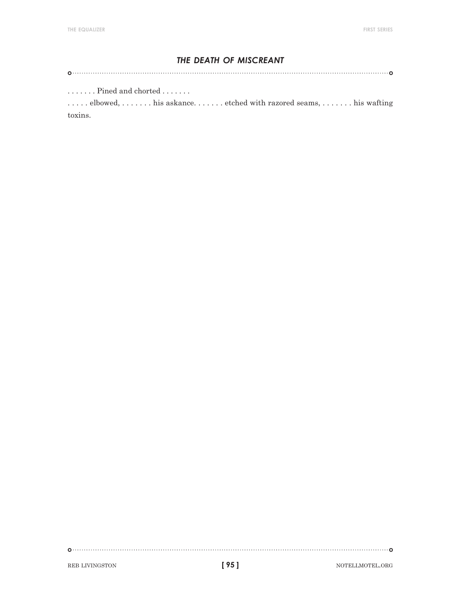# *the death of miscreant*

 $\dots \dots$  . Pined and chorted  $\dots \dots$ 

. . . . . . elbowed, . . . . . . . his askance. . . . . . . etched with razored seams, . . . . . . . his wafting toxins.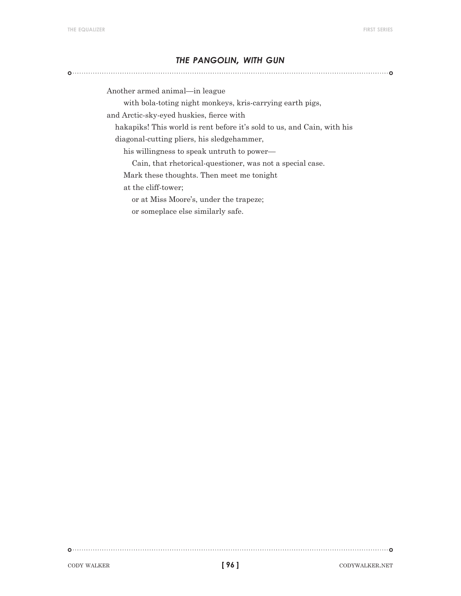#### *the pangolin, with gun*

Another armed animal—in league

with bola-toting night monkeys, kris-carrying earth pigs,

and Arctic-sky-eyed huskies, fierce with

 hakapiks! This world is rent before it's sold to us, and Cain, with his diagonal-cutting pliers, his sledgehammer,

his willingness to speak untruth to power—

Cain, that rhetorical-questioner, was not a special case.

Mark these thoughts. Then meet me tonight

at the cliff-tower;

or at Miss Moore's, under the trapeze;

or someplace else similarly safe.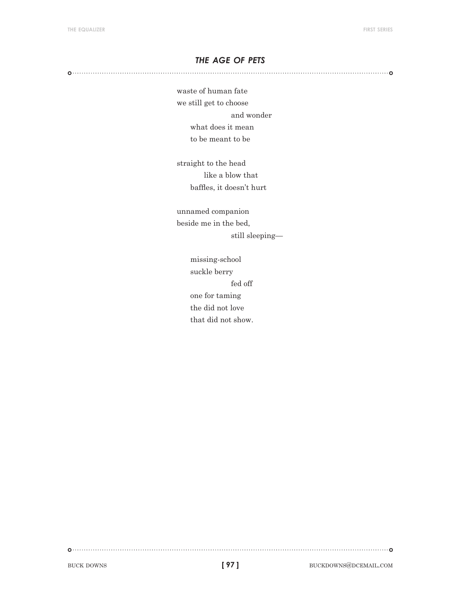## *the age of pets*

waste of human fate we still get to choose and wonder what does it mean to be meant to be

straight to the head like a blow that baffles, it doesn't hurt

unnamed companion beside me in the bed, still sleeping—

> missing-school suckle berry fed off one for taming the did not love that did not show.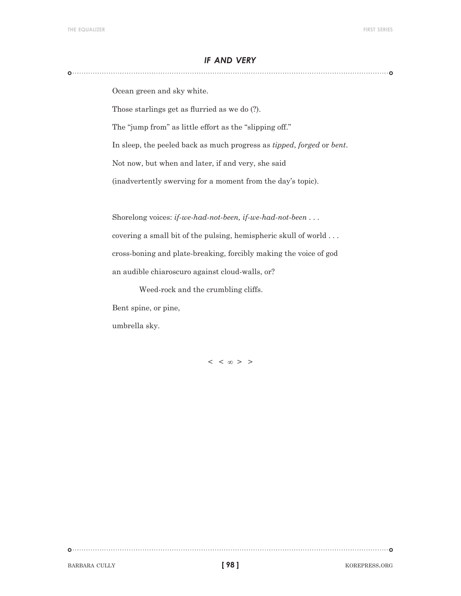#### *if and very*

Ocean green and sky white.

Those starlings get as flurried as we do (?).

The "jump from" as little effort as the "slipping off."

In sleep, the peeled back as much progress as *tipped*, *forged* or *bent*.

Not now, but when and later, if and very, she said

(inadvertently swerving for a moment from the day's topic).

Shorelong voices: *if-we-had-not-been, if-we-had-not-been* . . .

covering a small bit of the pulsing, hemispheric skull of world . . . cross-boning and plate-breaking, forcibly making the voice of god an audible chiaroscuro against cloud-walls, or?

Weed-rock and the crumbling cliffs.

Bent spine, or pine,

umbrella sky.

 $\langle \langle \, \cdot \rangle \rangle$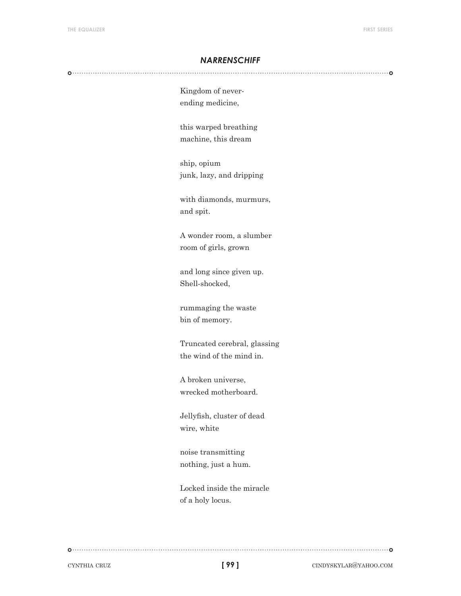#### *narrenschiff*

Kingdom of neverending medicine,

this warped breathing machine, this dream

ship, opium junk, lazy, and dripping

with diamonds, murmurs, and spit.

A wonder room, a slumber room of girls, grown

and long since given up. Shell-shocked,

rummaging the waste bin of memory.

Truncated cerebral, glassing the wind of the mind in.

A broken universe, wrecked motherboard.

Jellyfish, cluster of dead wire, white

noise transmitting nothing, just a hum.

Locked inside the miracle of a holy locus.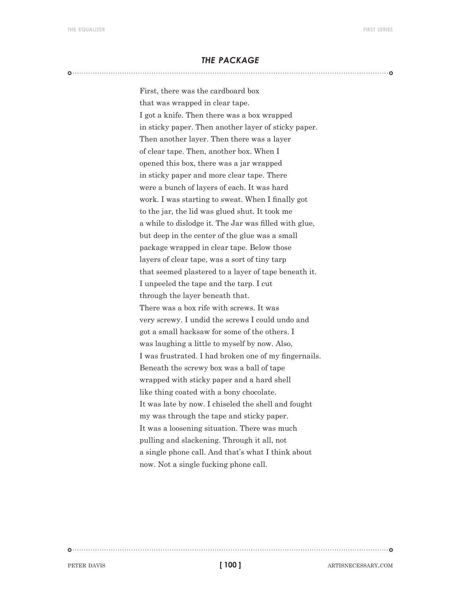#### *the package*

First, there was the cardboard box that was wrapped in clear tape. I got a knife. Then there was a box wrapped in sticky paper. Then another layer of sticky paper. Then another layer. Then there was a layer of clear tape. Then, another box. When I opened this box, there was a jar wrapped in sticky paper and more clear tape. There were a bunch of layers of each. It was hard work. I was starting to sweat. When I finally got to the jar, the lid was glued shut. It took me a while to dislodge it. The Jar was filled with glue, but deep in the center of the glue was a small package wrapped in clear tape. Below those layers of clear tape, was a sort of tiny tarp that seemed plastered to a layer of tape beneath it. I unpeeled the tape and the tarp. I cut through the layer beneath that. There was a box rife with screws. It was very screwy. I undid the screws I could undo and got a small hacksaw for some of the others. I was laughing a little to myself by now. Also, I was frustrated. I had broken one of my fingernails. Beneath the screwy box was a ball of tape wrapped with sticky paper and a hard shell like thing coated with a bony chocolate. It was late by now. I chiseled the shell and fought my was through the tape and sticky paper. It was a loosening situation. There was much pulling and slackening. Through it all, not a single phone call. And that's what I think about now. Not a single fucking phone call.

**[ 100 ]**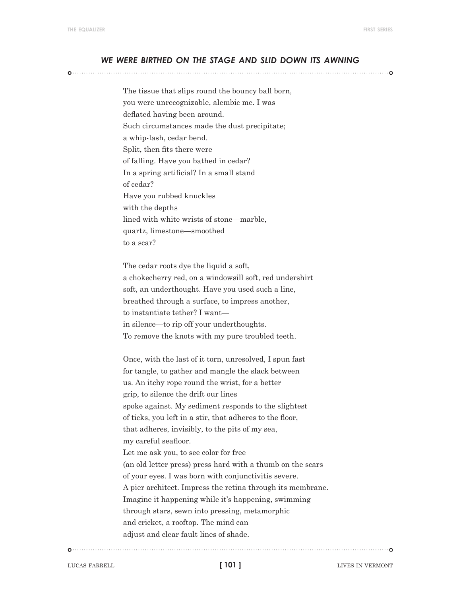#### *we were birthed on the stage and slid down its awning*

The tissue that slips round the bouncy ball born, you were unrecognizable, alembic me. I was deflated having been around. Such circumstances made the dust precipitate; a whip-lash, cedar bend. Split, then fits there were of falling. Have you bathed in cedar? In a spring artificial? In a small stand of cedar? Have you rubbed knuckles with the depths lined with white wrists of stone—marble, quartz, limestone—smoothed to a scar?

The cedar roots dye the liquid a soft, a chokecherry red, on a windowsill soft, red undershirt soft, an underthought. Have you used such a line, breathed through a surface, to impress another, to instantiate tether? I want in silence—to rip off your underthoughts. To remove the knots with my pure troubled teeth.

Once, with the last of it torn, unresolved, I spun fast for tangle, to gather and mangle the slack between us. An itchy rope round the wrist, for a better grip, to silence the drift our lines spoke against. My sediment responds to the slightest of ticks, you left in a stir, that adheres to the floor, that adheres, invisibly, to the pits of my sea, my careful seafloor. Let me ask you, to see color for free (an old letter press) press hard with a thumb on the scars of your eyes. I was born with conjunctivitis severe. A pier architect. Impress the retina through its membrane. Imagine it happening while it's happening, swimming through stars, sewn into pressing, metamorphic and cricket, a rooftop. The mind can adjust and clear fault lines of shade.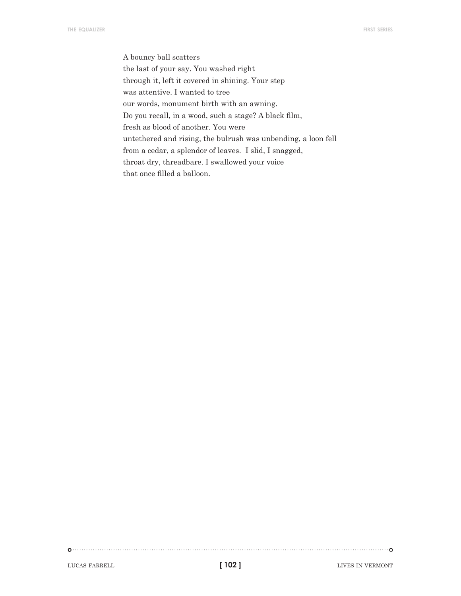A bouncy ball scatters the last of your say. You washed right through it, left it covered in shining. Your step was attentive. I wanted to tree our words, monument birth with an awning. Do you recall, in a wood, such a stage? A black film, fresh as blood of another. You were untethered and rising, the bulrush was unbending, a loon fell from a cedar, a splendor of leaves. I slid, I snagged, throat dry, threadbare. I swallowed your voice that once filled a balloon.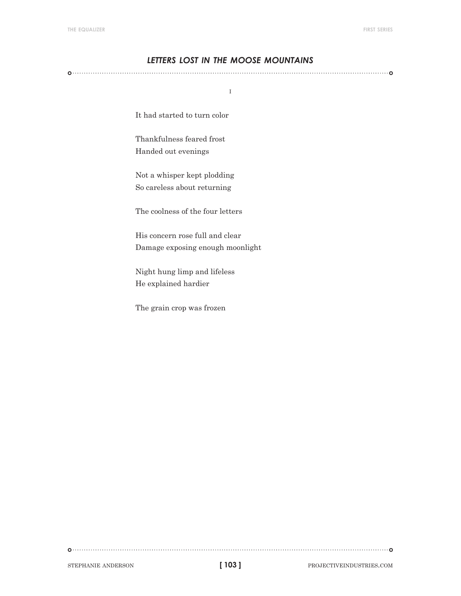# *letters lost in the moose mountains*

i

It had started to turn color

Thankfulness feared frost Handed out evenings

Not a whisper kept plodding So careless about returning

The coolness of the four letters

His concern rose full and clear Damage exposing enough moonlight

Night hung limp and lifeless He explained hardier

The grain crop was frozen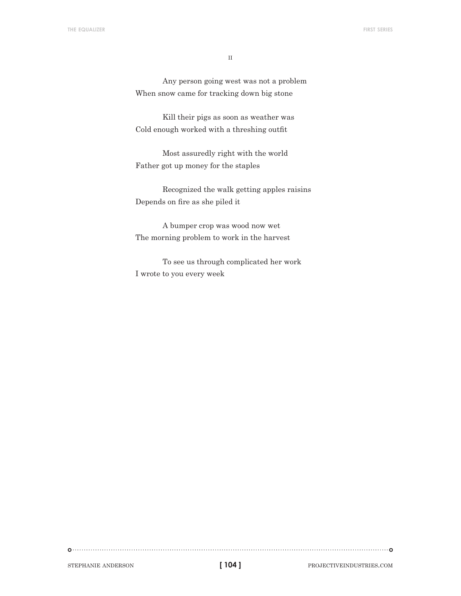$\rm II$ 

Any person going west was not a problem When snow came for tracking down big stone

Kill their pigs as soon as weather was Cold enough worked with a threshing outfit

Most assuredly right with the world Father got up money for the staples

Recognized the walk getting apples raisins Depends on fire as she piled it

A bumper crop was wood now wet The morning problem to work in the harvest

To see us through complicated her work I wrote to you every week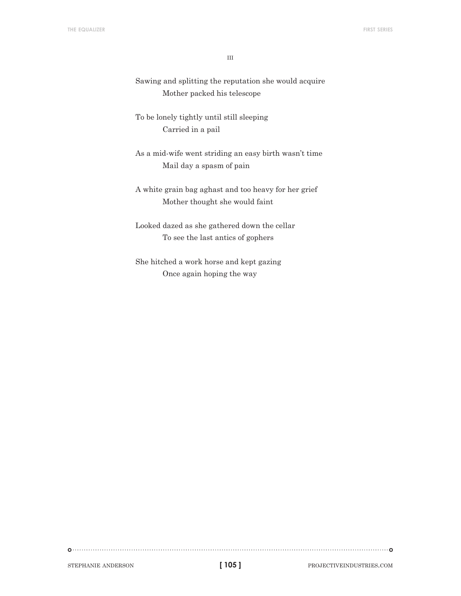iii

Sawing and splitting the reputation she would acquire Mother packed his telescope

To be lonely tightly until still sleeping Carried in a pail

As a mid-wife went striding an easy birth wasn't time Mail day a spasm of pain

A white grain bag aghast and too heavy for her grief Mother thought she would faint

Looked dazed as she gathered down the cellar To see the last antics of gophers

She hitched a work horse and kept gazing Once again hoping the way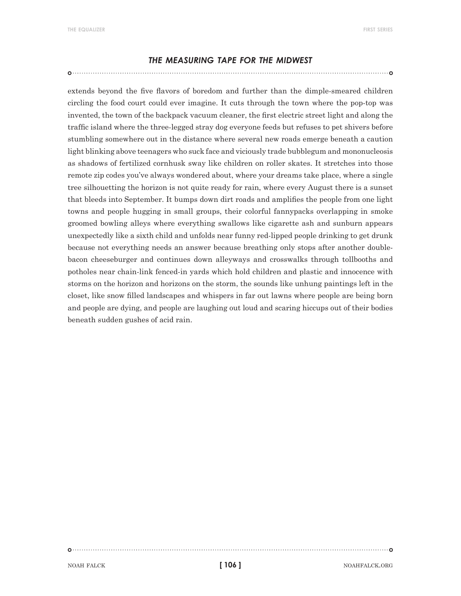#### *the measuring tape for the midwest*

extends beyond the five flavors of boredom and further than the dimple-smeared children circling the food court could ever imagine. It cuts through the town where the pop-top was invented, the town of the backpack vacuum cleaner, the first electric street light and along the traffic island where the three-legged stray dog everyone feeds but refuses to pet shivers before stumbling somewhere out in the distance where several new roads emerge beneath a caution light blinking above teenagers who suck face and viciously trade bubblegum and mononucleosis as shadows of fertilized cornhusk sway like children on roller skates. It stretches into those remote zip codes you've always wondered about, where your dreams take place, where a single tree silhouetting the horizon is not quite ready for rain, where every August there is a sunset that bleeds into September. It bumps down dirt roads and amplifies the people from one light towns and people hugging in small groups, their colorful fannypacks overlapping in smoke groomed bowling alleys where everything swallows like cigarette ash and sunburn appears unexpectedly like a sixth child and unfolds near funny red-lipped people drinking to get drunk because not everything needs an answer because breathing only stops after another doublebacon cheeseburger and continues down alleyways and crosswalks through tollbooths and potholes near chain-link fenced-in yards which hold children and plastic and innocence with storms on the horizon and horizons on the storm, the sounds like unhung paintings left in the closet, like snow filled landscapes and whispers in far out lawns where people are being born and people are dying, and people are laughing out loud and scaring hiccups out of their bodies beneath sudden gushes of acid rain.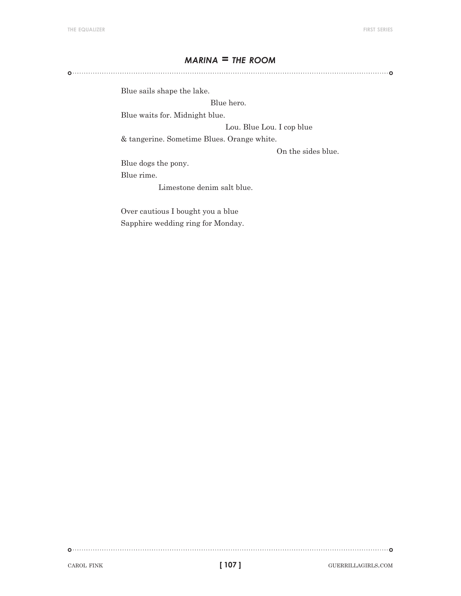# *marina = the room*

Blue sails shape the lake.

Blue hero.

Blue waits for. Midnight blue.

Lou. Blue Lou. I cop blue

& tangerine. Sometime Blues. Orange white.

On the sides blue.

Blue dogs the pony. Blue rime.

Limestone denim salt blue.

Over cautious I bought you a blue Sapphire wedding ring for Monday.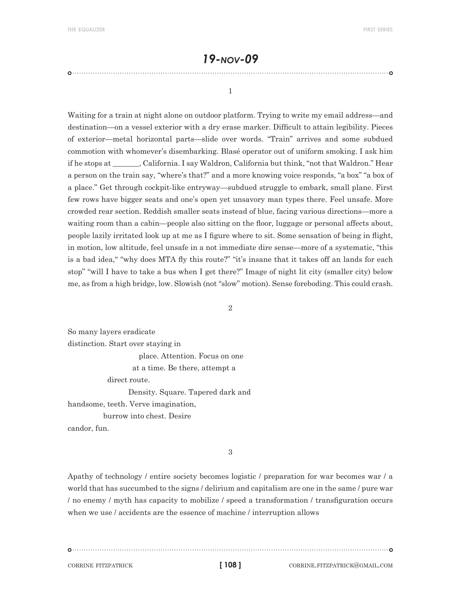# *19-nov-09*

1

Waiting for a train at night alone on outdoor platform. Trying to write my email address—and destination—on a vessel exterior with a dry erase marker. Difficult to attain legibility. Pieces of exterior—metal horizontal parts—slide over words. "Train" arrives and some subdued commotion with whomever's disembarking. Blasé operator out of uniform smoking. I ask him if he stops at \_\_\_\_\_\_\_, California. I say Waldron, California but think, "not that Waldron." Hear a person on the train say, "where's that?" and a more knowing voice responds, "a box" "a box of a place." Get through cockpit-like entryway—subdued struggle to embark, small plane. First few rows have bigger seats and one's open yet unsavory man types there. Feel unsafe. More crowded rear section. Reddish smaller seats instead of blue, facing various directions—more a waiting room than a cabin—people also sitting on the floor, luggage or personal affects about, people lazily irritated look up at me as I figure where to sit. Some sensation of being in flight, in motion, low altitude, feel unsafe in a not immediate dire sense—more of a systematic, "this is a bad idea," "why does MTA fly this route?" "it's insane that it takes off an lands for each stop" "will I have to take a bus when I get there?" Image of night lit city (smaller city) below me, as from a high bridge, low. Slowish (not "slow" motion). Sense foreboding. This could crash.

2

So many layers eradicate distinction. Start over staying in place. Attention. Focus on one at a time. Be there, attempt a direct route. Density. Square. Tapered dark and handsome, teeth. Verve imagination,

burrow into chest. Desire

candor, fun.

3

Apathy of technology / entire society becomes logistic / preparation for war becomes war / a world that has succumbed to the signs / delirium and capitalism are one in the same / pure war / no enemy / myth has capacity to mobilize / speed a transformation / transfiguration occurs when we use / accidents are the essence of machine / interruption allows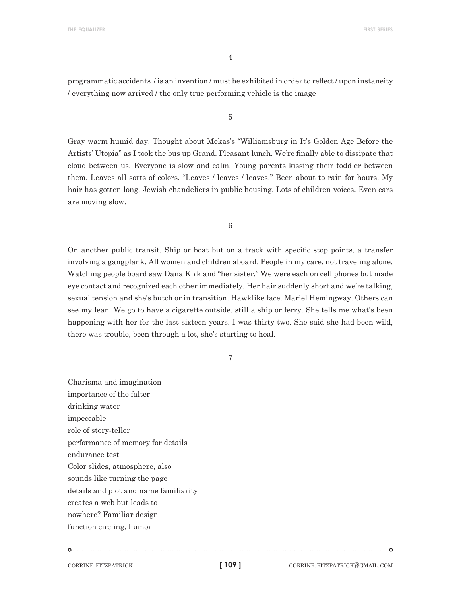4

programmatic accidents / is an invention / must be exhibited in order to reflect / upon instaneity / everything now arrived / the only true performing vehicle is the image

5

Gray warm humid day. Thought about Mekas's "Williamsburg in It's Golden Age Before the Artists' Utopia" as I took the bus up Grand. Pleasant lunch. We're finally able to dissipate that cloud between us. Everyone is slow and calm. Young parents kissing their toddler between them. Leaves all sorts of colors. "Leaves / leaves / leaves." Been about to rain for hours. My hair has gotten long. Jewish chandeliers in public housing. Lots of children voices. Even cars are moving slow.

6

On another public transit. Ship or boat but on a track with specific stop points, a transfer involving a gangplank. All women and children aboard. People in my care, not traveling alone. Watching people board saw Dana Kirk and "her sister." We were each on cell phones but made eye contact and recognized each other immediately. Her hair suddenly short and we're talking, sexual tension and she's butch or in transition. Hawklike face. Mariel Hemingway. Others can see my lean. We go to have a cigarette outside, still a ship or ferry. She tells me what's been happening with her for the last sixteen years. I was thirty-two. She said she had been wild, there was trouble, been through a lot, she's starting to heal.

7

Charisma and imagination importance of the falter drinking water impeccable role of story-teller performance of memory for details endurance test Color slides, atmosphere, also sounds like turning the page details and plot and name familiarity creates a web but leads to nowhere? Familiar design function circling, humor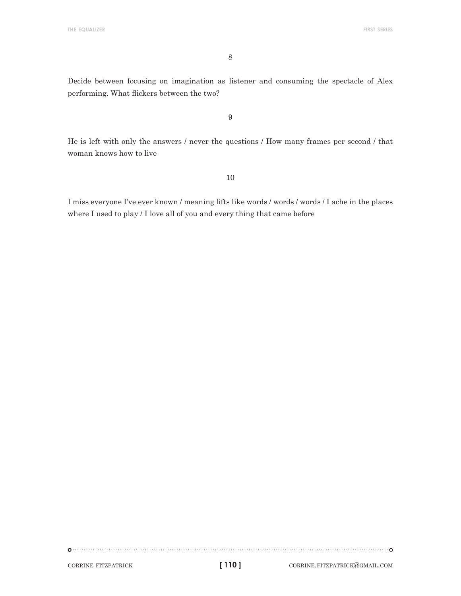8

Decide between focusing on imagination as listener and consuming the spectacle of Alex performing. What flickers between the two?

9

He is left with only the answers / never the questions / How many frames per second / that woman knows how to live

10

I miss everyone I've ever known / meaning lifts like words / words / words / I ache in the places where I used to play / I love all of you and every thing that came before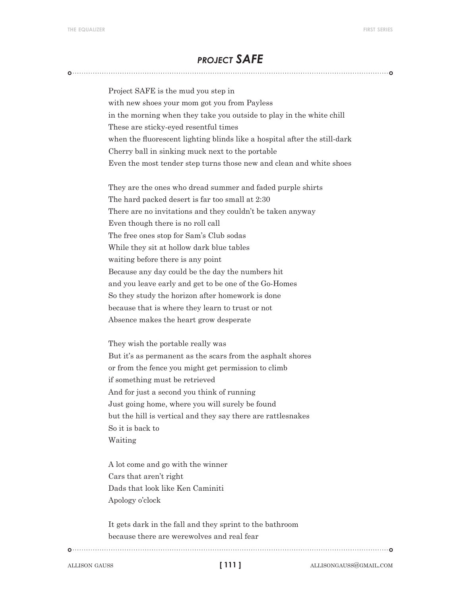# *project SAFE*

Project SAFE is the mud you step in with new shoes your mom got you from Payless in the morning when they take you outside to play in the white chill These are sticky-eyed resentful times when the fluorescent lighting blinds like a hospital after the still-dark Cherry ball in sinking muck next to the portable Even the most tender step turns those new and clean and white shoes

They are the ones who dread summer and faded purple shirts The hard packed desert is far too small at 2:30 There are no invitations and they couldn't be taken anyway Even though there is no roll call The free ones stop for Sam's Club sodas While they sit at hollow dark blue tables waiting before there is any point Because any day could be the day the numbers hit and you leave early and get to be one of the Go-Homes So they study the horizon after homework is done because that is where they learn to trust or not Absence makes the heart grow desperate

They wish the portable really was But it's as permanent as the scars from the asphalt shores or from the fence you might get permission to climb if something must be retrieved And for just a second you think of running Just going home, where you will surely be found but the hill is vertical and they say there are rattlesnakes So it is back to Waiting

A lot come and go with the winner Cars that aren't right Dads that look like Ken Caminiti Apology o'clock

It gets dark in the fall and they sprint to the bathroom because there are werewolves and real fear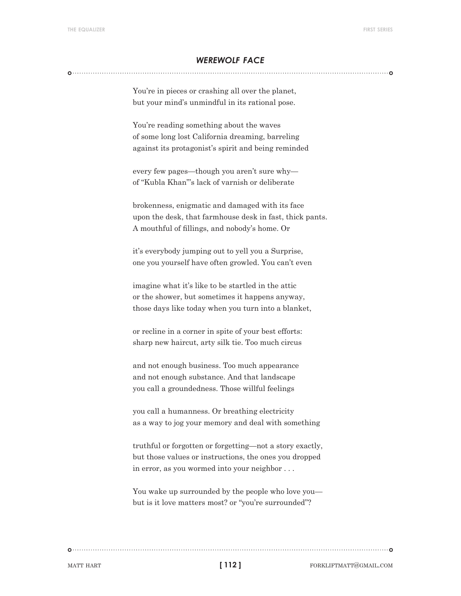#### *werewolf face*

You're in pieces or crashing all over the planet, but your mind's unmindful in its rational pose.

You're reading something about the waves of some long lost California dreaming, barreling against its protagonist's spirit and being reminded

every few pages—though you aren't sure why of "Kubla Khan"'s lack of varnish or deliberate

brokenness, enigmatic and damaged with its face upon the desk, that farmhouse desk in fast, thick pants. A mouthful of fillings, and nobody's home. Or

it's everybody jumping out to yell you a Surprise, one you yourself have often growled. You can't even

imagine what it's like to be startled in the attic or the shower, but sometimes it happens anyway, those days like today when you turn into a blanket,

or recline in a corner in spite of your best efforts: sharp new haircut, arty silk tie. Too much circus

and not enough business. Too much appearance and not enough substance. And that landscape you call a groundedness. Those willful feelings

you call a humanness. Or breathing electricity as a way to jog your memory and deal with something

truthful or forgotten or forgetting—not a story exactly, but those values or instructions, the ones you dropped in error, as you wormed into your neighbor . . .

You wake up surrounded by the people who love you but is it love matters most? or "you're surrounded"?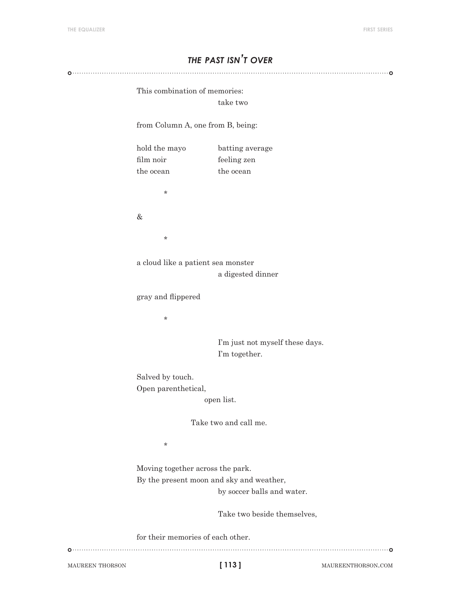# *the past isn't over*

This combination of memories:

take two

from Column A, one from B, being:

hold the mayo batting average film noir feeling zen the ocean the ocean \*

&

\*

a cloud like a patient sea monster a digested dinner

gray and flippered

\*

 I'm just not myself these days. I'm together.

Salved by touch. Open parenthetical,

open list.

Take two and call me.

\*

Moving together across the park. By the present moon and sky and weather, by soccer balls and water.

Take two beside themselves,

for their memories of each other.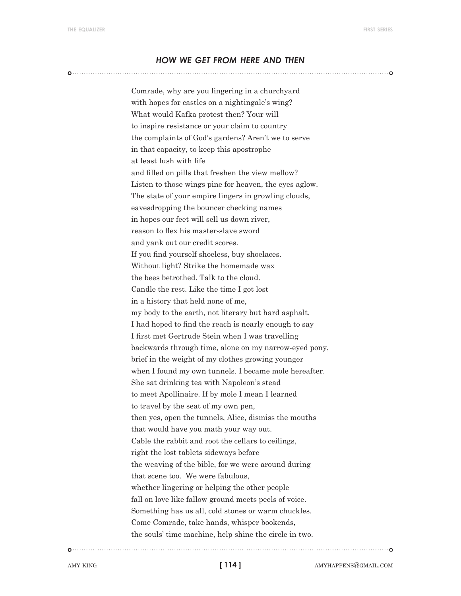#### *how we get from here and then*

Comrade, why are you lingering in a churchyard with hopes for castles on a nightingale's wing? What would Kafka protest then? Your will to inspire resistance or your claim to country the complaints of God's gardens? Aren't we to serve in that capacity, to keep this apostrophe at least lush with life and filled on pills that freshen the view mellow? Listen to those wings pine for heaven, the eyes aglow. The state of your empire lingers in growling clouds, eavesdropping the bouncer checking names in hopes our feet will sell us down river, reason to flex his master-slave sword and yank out our credit scores. If you find yourself shoeless, buy shoelaces. Without light? Strike the homemade wax the bees betrothed. Talk to the cloud. Candle the rest. Like the time I got lost in a history that held none of me, my body to the earth, not literary but hard asphalt. I had hoped to find the reach is nearly enough to say I first met Gertrude Stein when I was travelling backwards through time, alone on my narrow-eyed pony, brief in the weight of my clothes growing younger when I found my own tunnels. I became mole hereafter. She sat drinking tea with Napoleon's stead to meet Apollinaire. If by mole I mean I learned to travel by the seat of my own pen, then yes, open the tunnels, Alice, dismiss the mouths that would have you math your way out. Cable the rabbit and root the cellars to ceilings, right the lost tablets sideways before the weaving of the bible, for we were around during that scene too. We were fabulous, whether lingering or helping the other people fall on love like fallow ground meets peels of voice. Something has us all, cold stones or warm chuckles. Come Comrade, take hands, whisper bookends, the souls' time machine, help shine the circle in two.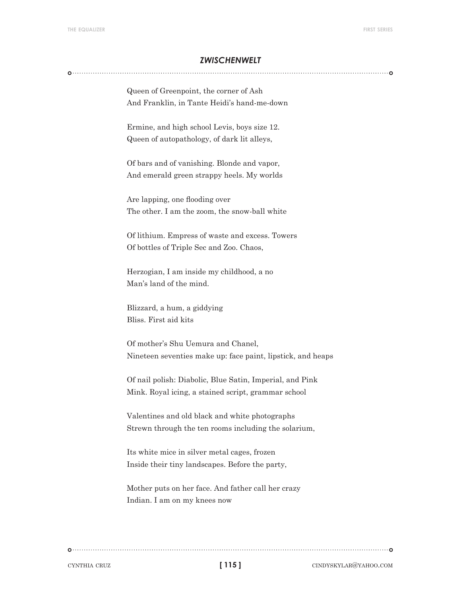#### *zwischenwelt*

Queen of Greenpoint, the corner of Ash And Franklin, in Tante Heidi's hand-me-down

Ermine, and high school Levis, boys size 12. Queen of autopathology, of dark lit alleys,

Of bars and of vanishing. Blonde and vapor, And emerald green strappy heels. My worlds

Are lapping, one flooding over The other. I am the zoom, the snow-ball white

Of lithium. Empress of waste and excess. Towers Of bottles of Triple Sec and Zoo. Chaos,

Herzogian, I am inside my childhood, a no Man's land of the mind.

Blizzard, a hum, a giddying Bliss. First aid kits

Of mother's Shu Uemura and Chanel, Nineteen seventies make up: face paint, lipstick, and heaps

Of nail polish: Diabolic, Blue Satin, Imperial, and Pink Mink. Royal icing, a stained script, grammar school

Valentines and old black and white photographs Strewn through the ten rooms including the solarium,

Its white mice in silver metal cages, frozen Inside their tiny landscapes. Before the party,

Mother puts on her face. And father call her crazy Indian. I am on my knees now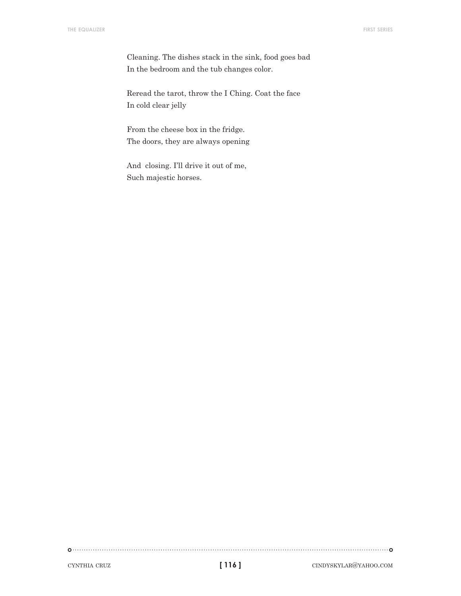Cleaning. The dishes stack in the sink, food goes bad In the bedroom and the tub changes color.

Reread the tarot, throw the I Ching. Coat the face In cold clear jelly

From the cheese box in the fridge. The doors, they are always opening

And closing. I'll drive it out of me, Such majestic horses.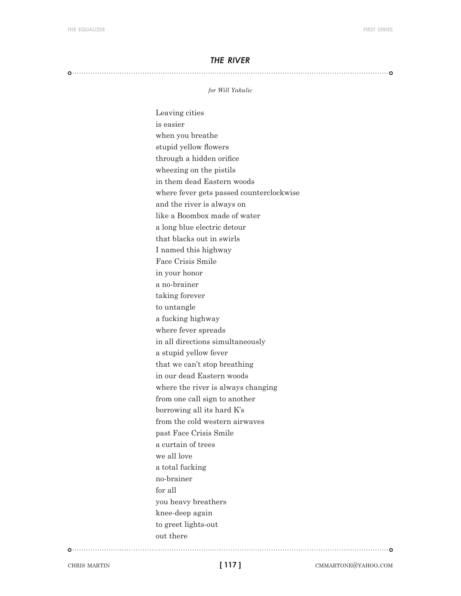#### *the river*

#### 

#### *for Will Yakulic*

Leaving cities is easier when you breathe stupid yellow flowers through a hidden orifice wheezing on the pistils in them dead Eastern woods where fever gets passed counterclockwise and the river is always on like a Boombox made of water a long blue electric detour that blacks out in swirls I named this highway Face Crisis Smile in your honor a no-brainer taking forever to untangle a fucking highway where fever spreads in all directions simultaneously a stupid yellow fever that we can't stop breathing in our dead Eastern woods where the river is always changing from one call sign to another borrowing all its hard K's from the cold western airwaves past Face Crisis Smile a curtain of trees we all love a total fucking no-brainer for all you heavy breathers knee-deep again to greet lights-out out there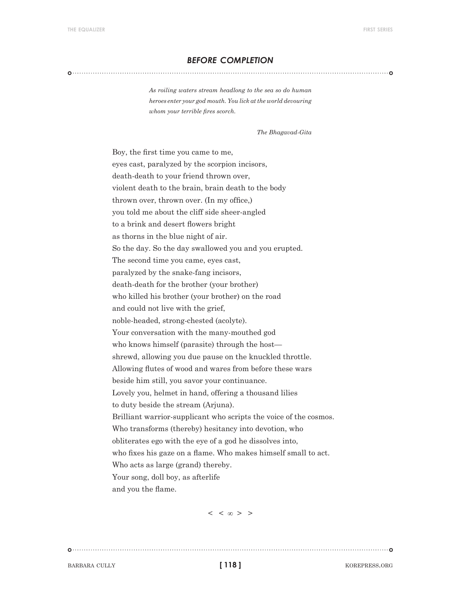#### *before completion*

#### 

*As roiling waters stream headlong to the sea so do human heroes enter your god mouth. You lick at the world devouring whom your terrible fires scorch.*

*The Bhagavad-Gita*

Boy, the first time you came to me, eyes cast, paralyzed by the scorpion incisors, death-death to your friend thrown over, violent death to the brain, brain death to the body thrown over, thrown over. (In my office,) you told me about the cliff side sheer-angled to a brink and desert flowers bright as thorns in the blue night of air. So the day. So the day swallowed you and you erupted. The second time you came, eyes cast, paralyzed by the snake-fang incisors, death-death for the brother (your brother) who killed his brother (your brother) on the road and could not live with the grief, noble-headed, strong-chested (acolyte). Your conversation with the many-mouthed god who knows himself (parasite) through the host shrewd, allowing you due pause on the knuckled throttle. Allowing flutes of wood and wares from before these wars beside him still, you savor your continuance. Lovely you, helmet in hand, offering a thousand lilies to duty beside the stream (Arjuna). Brilliant warrior-supplicant who scripts the voice of the cosmos. Who transforms (thereby) hesitancy into devotion, who obliterates ego with the eye of a god he dissolves into, who fixes his gaze on a flame. Who makes himself small to act. Who acts as large (grand) thereby. Your song, doll boy, as afterlife and you the flame.

 $\langle \langle \, \cdot \rangle \rangle$